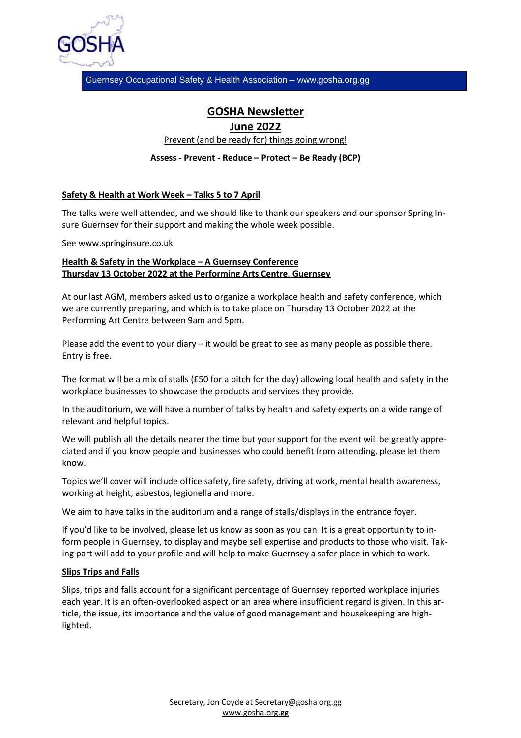

Guernsey Occupational Safety & Health Association – www.gosha.org.gg

# **GOSHA Newsletter**

## **June 2022**

Prevent (and be ready for) things going wrong!

**Assess - Prevent - Reduce – Protect – Be Ready (BCP)**

### **Safety & Health at Work Week – Talks 5 to 7 April**

The talks were well attended, and we should like to thank our speakers and our sponsor Spring Insure Guernsey for their support and making the whole week possible.

See www.springinsure.co.uk

### **Health & Safety in the Workplace – A Guernsey Conference Thursday 13 October 2022 at the Performing Arts Centre, Guernsey**

At our last AGM, members asked us to organize a workplace health and safety conference, which we are currently preparing, and which is to take place on Thursday 13 October 2022 at the Performing Art Centre between 9am and 5pm.

Please add the event to your diary – it would be great to see as many people as possible there. Entry is free.

The format will be a mix of stalls (£50 for a pitch for the day) allowing local health and safety in the workplace businesses to showcase the products and services they provide.

In the auditorium, we will have a number of talks by health and safety experts on a wide range of relevant and helpful topics.

We will publish all the details nearer the time but your support for the event will be greatly appreciated and if you know people and businesses who could benefit from attending, please let them know.

Topics we'll cover will include office safety, fire safety, driving at work, mental health awareness, working at height, asbestos, legionella and more.

We aim to have talks in the auditorium and a range of stalls/displays in the entrance foyer.

If you'd like to be involved, please let us know as soon as you can. It is a great opportunity to inform people in Guernsey, to display and maybe sell expertise and products to those who visit. Taking part will add to your profile and will help to make Guernsey a safer place in which to work.

#### **Slips Trips and Falls**

Slips, trips and falls account for a significant percentage of Guernsey reported workplace injuries each year. It is an often-overlooked aspect or an area where insufficient regard is given. In this article, the issue, its importance and the value of good management and housekeeping are highlighted.